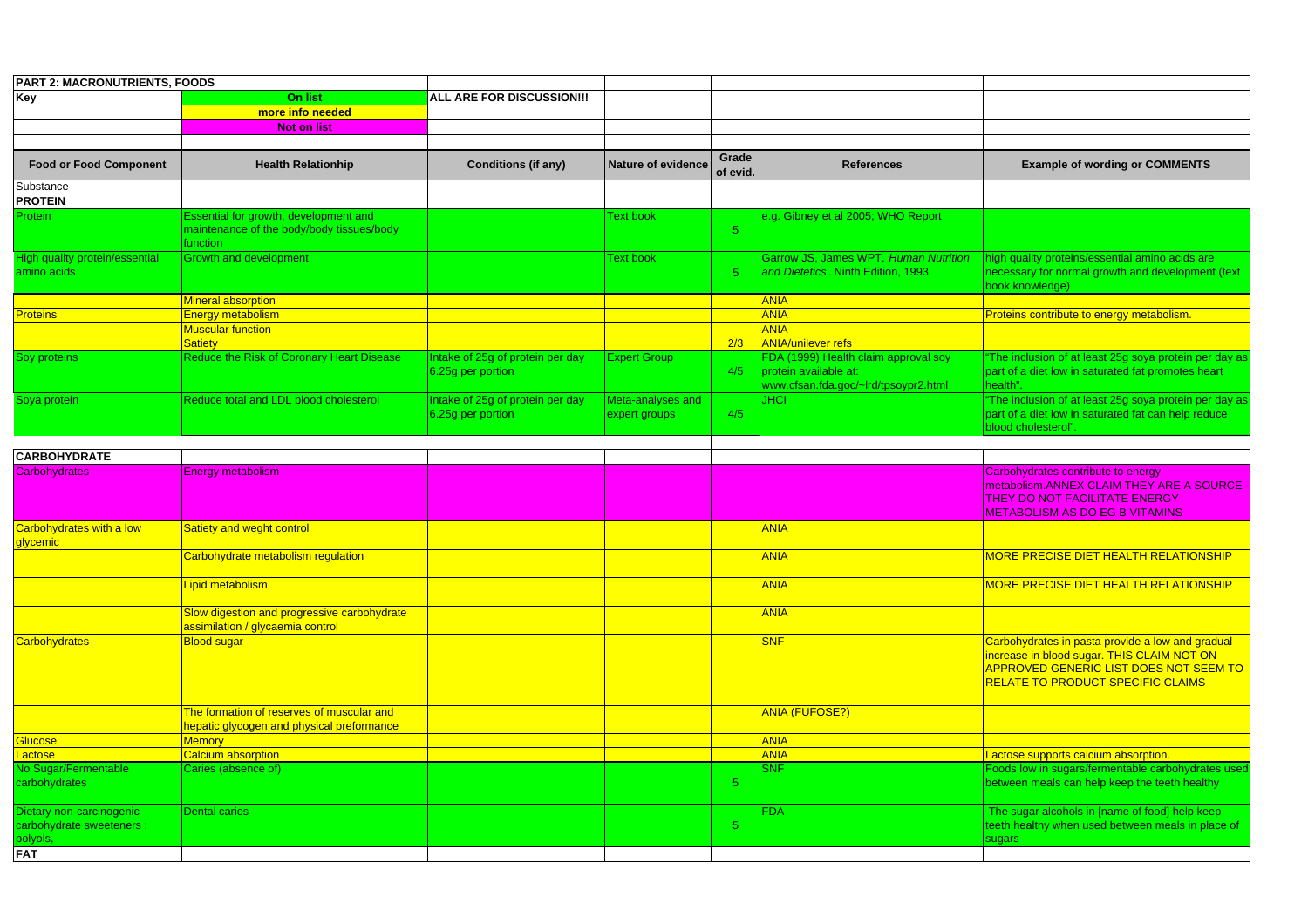| <b>PART 2: MACRONUTRIENTS, FOODS</b>                                            |                                                                                                |                                                       |                                    |                   |                                                                                                       |                                                                                                                                                                              |
|---------------------------------------------------------------------------------|------------------------------------------------------------------------------------------------|-------------------------------------------------------|------------------------------------|-------------------|-------------------------------------------------------------------------------------------------------|------------------------------------------------------------------------------------------------------------------------------------------------------------------------------|
| Key                                                                             | On list                                                                                        | ALL ARE FOR DISCUSSION !!!                            |                                    |                   |                                                                                                       |                                                                                                                                                                              |
|                                                                                 | more info needed                                                                               |                                                       |                                    |                   |                                                                                                       |                                                                                                                                                                              |
|                                                                                 | <b>Not on list</b>                                                                             |                                                       |                                    |                   |                                                                                                       |                                                                                                                                                                              |
|                                                                                 |                                                                                                |                                                       |                                    |                   |                                                                                                       |                                                                                                                                                                              |
| <b>Food or Food Component</b>                                                   | <b>Health Relationhip</b>                                                                      | <b>Conditions (if any)</b>                            | <b>Nature of evidence</b>          | Grade<br>of evid. | <b>References</b>                                                                                     | <b>Example of wording or COMMENTS</b>                                                                                                                                        |
| Substance                                                                       |                                                                                                |                                                       |                                    |                   |                                                                                                       |                                                                                                                                                                              |
| <b>PROTEIN</b>                                                                  |                                                                                                |                                                       |                                    |                   |                                                                                                       |                                                                                                                                                                              |
| Protein                                                                         | Essential for growth, development and<br>maintenance of the body/body tissues/body<br>function |                                                       | <b>Text book</b>                   | 5                 | e.g. Gibney et al 2005; WHO Report                                                                    |                                                                                                                                                                              |
| <b>High quality protein/essential</b><br>amino acids                            | <b>Growth and development</b>                                                                  |                                                       | <b>Text book</b>                   | 5                 | Garrow JS, James WPT. Human Nutrition<br>and Dietetics. Ninth Edition, 1993                           | high quality proteins/essential amino acids are<br>necessary for normal growth and development (text<br>book knowledge)                                                      |
|                                                                                 | <b>Mineral absorption</b>                                                                      |                                                       |                                    |                   | <b>ANIA</b>                                                                                           |                                                                                                                                                                              |
| Proteins                                                                        | <b>Energy metabolism</b>                                                                       |                                                       |                                    |                   | <b>ANIA</b>                                                                                           | Proteins contribute to energy metabolism.                                                                                                                                    |
|                                                                                 | <b>Muscular function</b>                                                                       |                                                       |                                    |                   | <b>ANIA</b>                                                                                           |                                                                                                                                                                              |
|                                                                                 | <b>Satiety</b>                                                                                 |                                                       |                                    | 2/3               | <b>ANIA/unilever refs</b>                                                                             |                                                                                                                                                                              |
| Soy proteins                                                                    | Reduce the Risk of Coronary Heart Disease                                                      | Intake of 25g of protein per day<br>6.25q per portion | <b>Expert Group</b>                | 4/5               | FDA (1999) Health claim approval soy<br>protein available at:<br>www.cfsan.fda.goc/~lrd/tpsoypr2.html | The inclusion of at least 25g soya protein per day as<br>part of a diet low in saturated fat promotes heart<br>health".                                                      |
| Soya protein                                                                    | Reduce total and LDL blood cholesterol                                                         | Intake of 25g of protein per day<br>6.25g per portion | Meta-analyses and<br>expert groups | 4/5               | <b>JHCI</b>                                                                                           | "The inclusion of at least 25g soya protein per day as<br>part of a diet low in saturated fat can help reduce<br>blood cholesterol".                                         |
| <b>CARBOHYDRATE</b>                                                             |                                                                                                |                                                       |                                    |                   |                                                                                                       |                                                                                                                                                                              |
| Carbohydrates                                                                   | <b>Energy metabolism</b>                                                                       |                                                       |                                    |                   |                                                                                                       |                                                                                                                                                                              |
|                                                                                 |                                                                                                |                                                       |                                    |                   |                                                                                                       | Carbohydrates contribute to energy<br>metabolism.ANNEX CLAIM THEY ARE A SOURCE<br><b>THEY DO NOT FACILITATE ENERGY</b><br><b>METABOLISM AS DO EG B VITAMINS</b>              |
| Carbohydrates with a low<br>glycemic                                            | Satiety and weght control                                                                      |                                                       |                                    |                   | <b>ANIA</b>                                                                                           |                                                                                                                                                                              |
|                                                                                 | Carbohydrate metabolism regulation                                                             |                                                       |                                    |                   | <b>ANIA</b>                                                                                           | <b>MORE PRECISE DIET HEALTH RELATIONSHIP</b>                                                                                                                                 |
|                                                                                 | Lipid metabolism                                                                               |                                                       |                                    |                   | <b>ANIA</b>                                                                                           | <b>MORE PRECISE DIET HEALTH RELATIONSHIP</b>                                                                                                                                 |
|                                                                                 | Slow digestion and progressive carbohydrate<br>assimilation / glycaemia control                |                                                       |                                    |                   | <b>ANIA</b>                                                                                           |                                                                                                                                                                              |
| <b>Carbohydrates</b>                                                            | <b>Blood sugar</b>                                                                             |                                                       |                                    |                   | <b>SNF</b>                                                                                            | Carbohydrates in pasta provide a low and gradual<br>ncrease in blood sugar. THIS CLAIM NOT ON<br>APPROVED GENERIC LIST DOES NOT SEEM TO<br>RELATE TO PRODUCT SPECIFIC CLAIMS |
|                                                                                 | The formation of reserves of muscular and<br>nepatic glycogen and physical preformance         |                                                       |                                    |                   | <b>ANIA (FUFOSE?)</b>                                                                                 |                                                                                                                                                                              |
| <b>Blucose</b>                                                                  | <b>Memory</b>                                                                                  |                                                       |                                    |                   | <b>ANIA</b>                                                                                           |                                                                                                                                                                              |
| actose                                                                          | <b>Calcium absorption</b>                                                                      |                                                       |                                    |                   | <b>ANIA</b>                                                                                           | actose supports calcium absorption.                                                                                                                                          |
| No Sugar/Fermentable<br>carbohydrates                                           | Caries (absence of)                                                                            |                                                       |                                    | $\sqrt{5}$        | <b>SNF</b>                                                                                            | Foods low in sugars/fermentable carbohydrates used<br>between meals can help keep the teeth healthy                                                                          |
| Dietary non-carcinogenic<br>carbohydrate sweeteners :<br>polyols,<br><b>FAT</b> | <b>Dental caries</b>                                                                           |                                                       |                                    | 5                 | FDA                                                                                                   | The sugar alcohols in [name of food] help keep<br>teeth healthy when used between meals in place of<br>sugars                                                                |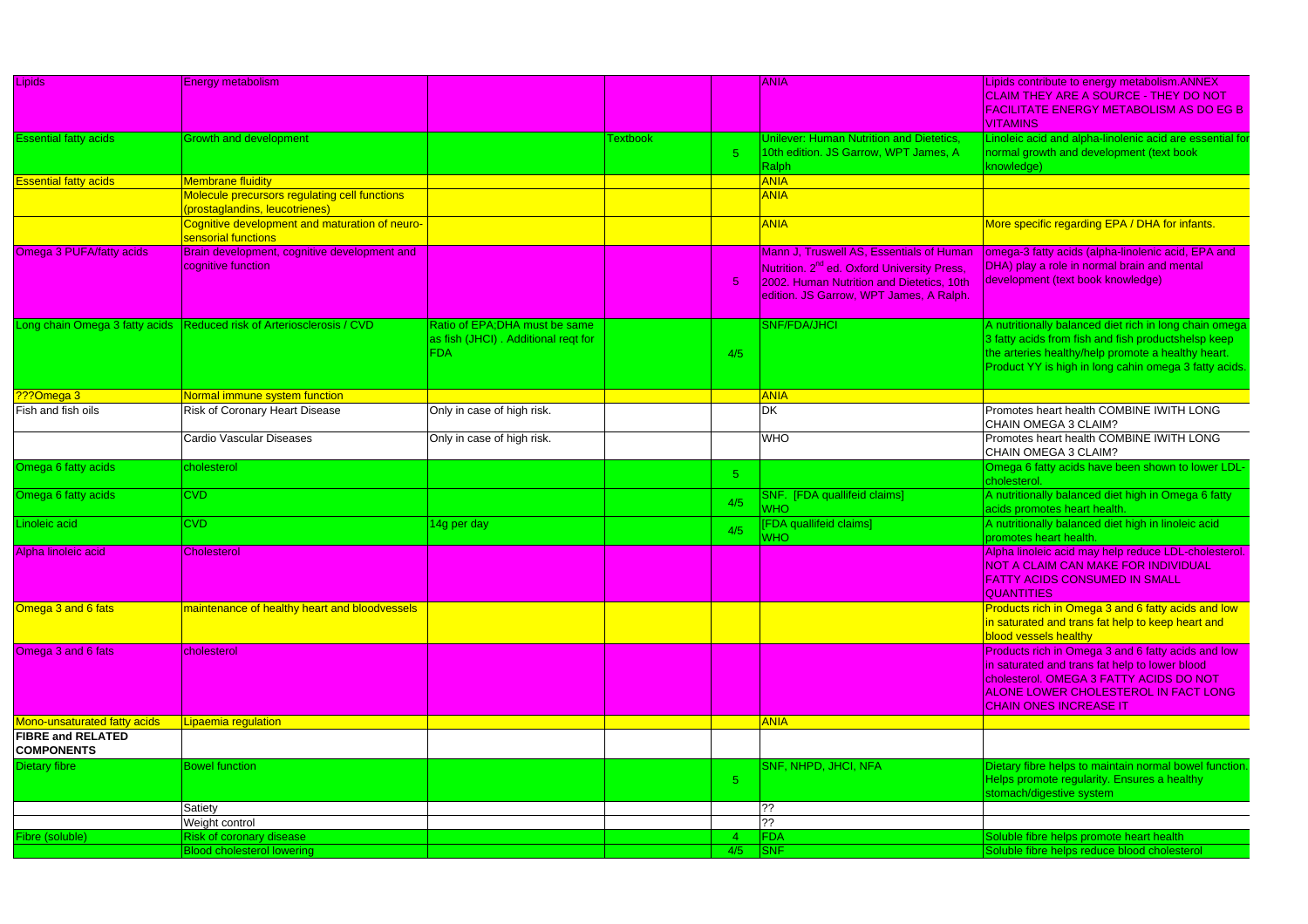| Lipids                       | <b>Energy metabolism</b>                                              |                                     |         |                | <b>ANIA</b>                                             | Lipids contribute to energy metabolism.ANNEX                                  |
|------------------------------|-----------------------------------------------------------------------|-------------------------------------|---------|----------------|---------------------------------------------------------|-------------------------------------------------------------------------------|
|                              |                                                                       |                                     |         |                |                                                         | <b>CLAIM THEY ARE A SOURCE - THEY DO NOT</b>                                  |
|                              |                                                                       |                                     |         |                |                                                         | <b>FACILITATE ENERGY METABOLISM AS DO EG B</b>                                |
|                              |                                                                       |                                     |         |                |                                                         | <b>VITAMINS</b>                                                               |
| <b>Essential fatty acids</b> | <b>Growth and development</b>                                         |                                     | extbook |                | Unilever: Human Nutrition and Dietetics,                | inoleic acid and alpha-linolenic acid are essential fo                        |
|                              |                                                                       |                                     |         | 5 <sup>5</sup> | 10th edition. JS Garrow, WPT James, A                   | normal growth and development (text book                                      |
|                              |                                                                       |                                     |         |                | Ralph                                                   | knowledge)                                                                    |
| <b>Essential fatty acids</b> | <b>Membrane fluidity</b>                                              |                                     |         |                | <b>ANIA</b>                                             |                                                                               |
|                              | Molecule precursors regulating cell functions                         |                                     |         |                | <b>ANIA</b>                                             |                                                                               |
|                              | prostaglandins, leucotrienes)                                         |                                     |         |                |                                                         |                                                                               |
|                              | Cognitive development and maturation of neuro-<br>sensorial functions |                                     |         |                | <b>ANIA</b>                                             | More specific regarding EPA / DHA for infants.                                |
| Omega 3 PUFA/fatty acids     | Brain development, cognitive development and                          |                                     |         |                | Mann J, Truswell AS, Essentials of Human                | omega-3 fatty acids (alpha-linolenic acid, EPA and                            |
|                              | cognitive function                                                    |                                     |         |                | Nutrition. 2 <sup>nd</sup> ed. Oxford University Press, | DHA) play a role in normal brain and mental                                   |
|                              |                                                                       |                                     |         | $5^{\circ}$    | 2002. Human Nutrition and Dietetics, 10th               | development (text book knowledge)                                             |
|                              |                                                                       |                                     |         |                | edition. JS Garrow, WPT James, A Ralph.                 |                                                                               |
|                              | Long chain Omega 3 fatty acids Reduced risk of Arteriosclerosis / CVD | Ratio of EPA:DHA must be same       |         |                | <b>SNF/FDA/JHCI</b>                                     | A nutritionally balanced diet rich in long chain omega                        |
|                              |                                                                       | as fish (JHCI). Additional regt for |         |                |                                                         | 3 fatty acids from fish and fish productshelsp keep                           |
|                              |                                                                       | <b>FDA</b>                          |         | 4/5            |                                                         | the arteries healthy/help promote a healthy heart.                            |
|                              |                                                                       |                                     |         |                |                                                         | Product YY is high in long cahin omega 3 fatty acids.                         |
| ???Omega 3                   | Normal immune system function                                         |                                     |         |                | <b>ANIA</b>                                             |                                                                               |
| Fish and fish oils           | Risk of Coronary Heart Disease                                        | Only in case of high risk.          |         |                | <b>DK</b>                                               | Promotes heart health COMBINE IWITH LONG                                      |
|                              |                                                                       |                                     |         |                |                                                         | CHAIN OMEGA 3 CLAIM?                                                          |
|                              | Cardio Vascular Diseases                                              | Only in case of high risk.          |         |                | <b>WHO</b>                                              | Promotes heart health COMBINE IWITH LONG                                      |
|                              |                                                                       |                                     |         |                |                                                         | CHAIN OMEGA 3 CLAIM?                                                          |
| Omega 6 fatty acids          | cholesterol                                                           |                                     |         | 5 <sup>5</sup> |                                                         | Omega 6 fatty acids have been shown to lower LDL-                             |
|                              |                                                                       |                                     |         |                |                                                         | cholesterol                                                                   |
| Omega 6 fatty acids          | <b>CVD</b>                                                            |                                     |         | 4/5            | SNF. [FDA quallifeid claims]                            | A nutritionally balanced diet high in Omega 6 fatty                           |
|                              |                                                                       |                                     |         |                | <b>NHO</b>                                              | acids promotes heart health.                                                  |
| Linoleic acid                | <b>CVD</b>                                                            | 14g per day                         |         | 4/5            | [FDA quallifeid claims]<br><b>NHO</b>                   | A nutritionally balanced diet high in linoleic acid<br>promotes heart health. |
| Alpha linoleic acid          | <b>Cholesterol</b>                                                    |                                     |         |                |                                                         | Alpha linoleic acid may help reduce LDL-cholesterol.                          |
|                              |                                                                       |                                     |         |                |                                                         | <b>NOT A CLAIM CAN MAKE FOR INDIVIDUAL</b>                                    |
|                              |                                                                       |                                     |         |                |                                                         | <b>FATTY ACIDS CONSUMED IN SMALL</b>                                          |
|                              |                                                                       |                                     |         |                |                                                         | <b>QUANTITIES</b>                                                             |
| Omega 3 and 6 fats           | maintenance of healthy heart and bloodvessels                         |                                     |         |                |                                                         | Products rich in Omega 3 and 6 fatty acids and low                            |
|                              |                                                                       |                                     |         |                |                                                         | in saturated and trans fat help to keep heart and                             |
|                              |                                                                       |                                     |         |                |                                                         | blood vessels healthy                                                         |
| Omega 3 and 6 fats           | cholesterol                                                           |                                     |         |                |                                                         | Products rich in Omega 3 and 6 fatty acids and low                            |
|                              |                                                                       |                                     |         |                |                                                         | in saturated and trans fat help to lower blood                                |
|                              |                                                                       |                                     |         |                |                                                         | cholesterol. OMEGA 3 FATTY ACIDS DO NOT                                       |
|                              |                                                                       |                                     |         |                |                                                         | <b>ALONE LOWER CHOLESTEROL IN FACT LONG</b>                                   |
|                              |                                                                       |                                     |         |                |                                                         | <b>CHAIN ONES INCREASE IT</b>                                                 |
| Mono-unsaturated fatty acids | Lipaemia regulation                                                   |                                     |         |                | <b>ANIA</b>                                             |                                                                               |
| <b>FIBRE and RELATED</b>     |                                                                       |                                     |         |                |                                                         |                                                                               |
| <b>COMPONENTS</b>            |                                                                       |                                     |         |                |                                                         |                                                                               |
| <b>Dietary fibre</b>         | <b>Bowel function</b>                                                 |                                     |         |                | SNF, NHPD, JHCI, NFA                                    | Dietary fibre helps to maintain normal bowel function                         |
|                              |                                                                       |                                     |         | $-5$           |                                                         | Helps promote regularity. Ensures a healthy<br>stomach/digestive system       |
|                              | Satiety                                                               |                                     |         |                | ??                                                      |                                                                               |
|                              | Weight control                                                        |                                     |         |                | ??                                                      |                                                                               |
| Fibre (soluble)              | Risk of coronary disease                                              |                                     |         | $\overline{4}$ | FDA                                                     | Soluble fibre helps promote heart health                                      |
|                              | <b>Blood cholesterol lowering</b>                                     |                                     |         | 4/5            | <b>SNF</b>                                              | Soluble fibre helps reduce blood cholesterol                                  |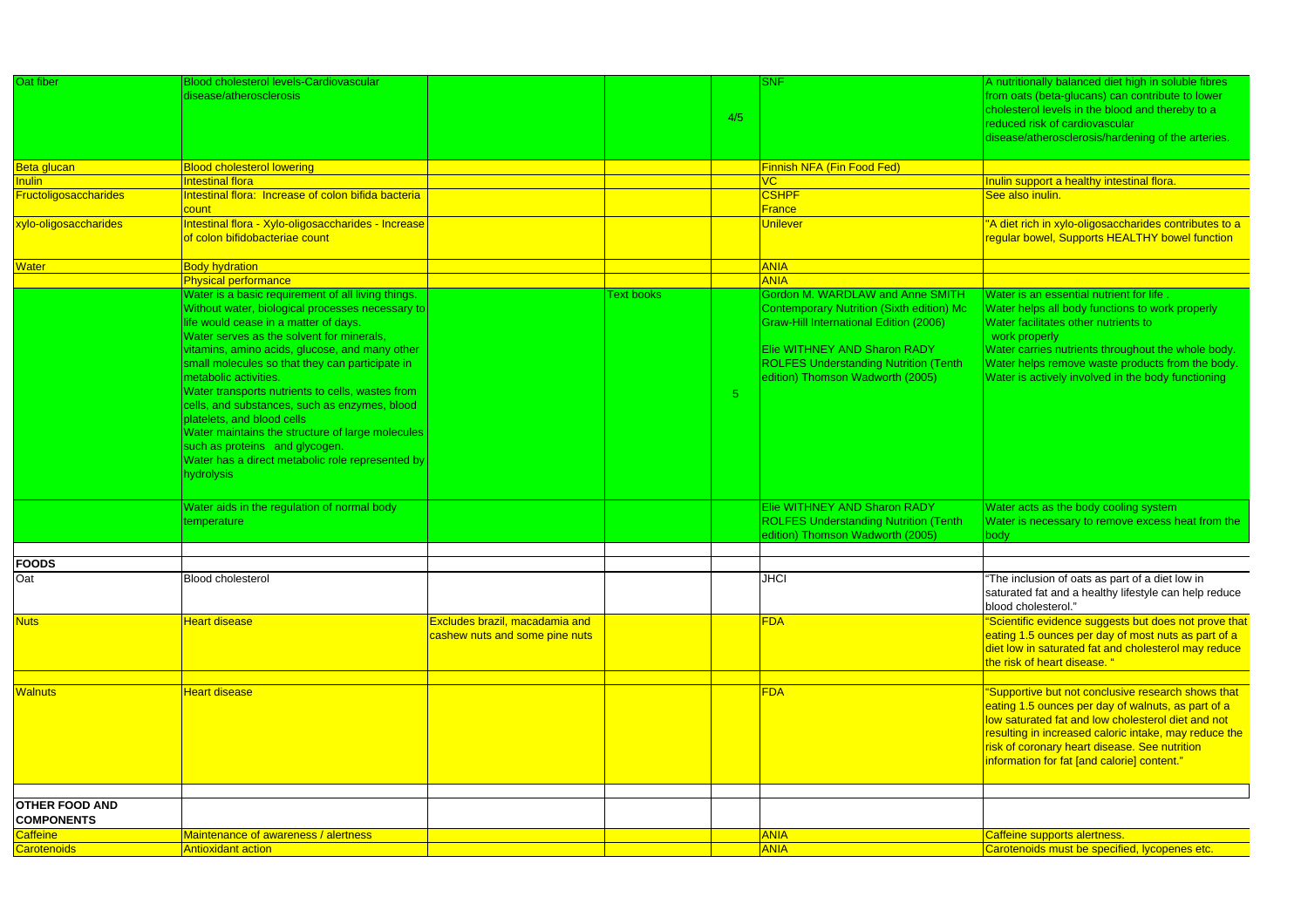| Oat fiber                    | <b>Blood cholesterol levels-Cardiovascular</b>      |                                |                   |            | <b>SNF</b>                                    | A nutritionally balanced diet high in soluble fibres                          |
|------------------------------|-----------------------------------------------------|--------------------------------|-------------------|------------|-----------------------------------------------|-------------------------------------------------------------------------------|
|                              | disease/atherosclerosis                             |                                |                   |            |                                               | from oats (beta-glucans) can contribute to lower                              |
|                              |                                                     |                                |                   |            |                                               | cholesterol levels in the blood and thereby to a                              |
|                              |                                                     |                                |                   | 4/5        |                                               | reduced risk of cardiovascular                                                |
|                              |                                                     |                                |                   |            |                                               | disease/atherosclerosis/hardening of the arteries.                            |
|                              |                                                     |                                |                   |            |                                               |                                                                               |
| Beta glucan                  | <b>Blood cholesterol lowering</b>                   |                                |                   |            | Finnish NFA (Fin Food Fed)                    |                                                                               |
| Inulin                       | Intestinal flora                                    |                                |                   |            | $\overline{\text{VC}}$                        | nulin support a healthy intestinal flora.                                     |
| <b>Fructoligosaccharides</b> | Intestinal flora: Increase of colon bifida bacteria |                                |                   |            | <b>CSHPF</b>                                  | See also inulin.                                                              |
|                              | count                                               |                                |                   |            | <b>France</b>                                 |                                                                               |
| xylo-oligosaccharides        | Intestinal flora - Xylo-oligosaccharides - Increase |                                |                   |            | <b>Unilever</b>                               | 'A diet rich in xylo-oligosaccharides contributes to a                        |
|                              | of colon bifidobacteriae count                      |                                |                   |            |                                               | regular bowel, Supports HEALTHY bowel function                                |
|                              |                                                     |                                |                   |            |                                               |                                                                               |
| <b>Nater</b>                 | <b>Body hydration</b>                               |                                |                   |            | <b>ANIA</b>                                   |                                                                               |
|                              | Physical performance                                |                                |                   |            | <b>ANIA</b>                                   |                                                                               |
|                              | Water is a basic requirement of all living things.  |                                | <b>Text books</b> |            | <b>Gordon M. WARDLAW and Anne SMITH</b>       | Water is an essential nutrient for life                                       |
|                              | Without water, biological processes necessary to    |                                |                   |            | Contemporary Nutrition (Sixth edition) Mc     | Water helps all body functions to work properly                               |
|                              | life would cease in a matter of days.               |                                |                   |            | <b>Graw-Hill International Edition (2006)</b> | Water facilitates other nutrients to                                          |
|                              | Water serves as the solvent for minerals,           |                                |                   |            |                                               | work properly                                                                 |
|                              | vitamins, amino acids, glucose, and many other      |                                |                   |            | Elie WITHNEY AND Sharon RADY                  | Water carries nutrients throughout the whole body.                            |
|                              | small molecules so that they can participate in     |                                |                   |            | <b>ROLFES Understanding Nutrition (Tenth)</b> | Water helps remove waste products from the body.                              |
|                              | metabolic activities.                               |                                |                   |            | edition) Thomson Wadworth (2005)              | Water is actively involved in the body functioning                            |
|                              | Water transports nutrients to cells, wastes from    |                                |                   | $\sqrt{5}$ |                                               |                                                                               |
|                              | cells, and substances, such as enzymes, blood       |                                |                   |            |                                               |                                                                               |
|                              | platelets, and blood cells                          |                                |                   |            |                                               |                                                                               |
|                              | Water maintains the structure of large molecules    |                                |                   |            |                                               |                                                                               |
|                              | such as proteins and glycogen.                      |                                |                   |            |                                               |                                                                               |
|                              | Water has a direct metabolic role represented by    |                                |                   |            |                                               |                                                                               |
|                              | hydrolysis                                          |                                |                   |            |                                               |                                                                               |
|                              |                                                     |                                |                   |            |                                               |                                                                               |
|                              | Water aids in the regulation of normal body         |                                |                   |            | <b>Elie WITHNEY AND Sharon RADY</b>           | Water acts as the body cooling system                                         |
|                              | temperature                                         |                                |                   |            | <b>ROLFES Understanding Nutrition (Tenth</b>  | Water is necessary to remove excess heat from the                             |
|                              |                                                     |                                |                   |            | edition) Thomson Wadworth (2005)              | body                                                                          |
|                              |                                                     |                                |                   |            |                                               |                                                                               |
| FOODS                        |                                                     |                                |                   |            |                                               |                                                                               |
| Oat                          | <b>Blood cholesterol</b>                            |                                |                   |            | <b>JHCI</b>                                   | The inclusion of oats as part of a diet low in                                |
|                              |                                                     |                                |                   |            |                                               | saturated fat and a healthy lifestyle can help reduce                         |
|                              |                                                     |                                |                   |            |                                               | blood cholesterol."                                                           |
| <b>Nuts</b>                  | Heart disease                                       | Excludes brazil, macadamia and |                   |            | <b>FDA</b>                                    | 'Scientific evidence suggests but does not prove that                         |
|                              |                                                     | cashew nuts and some pine nuts |                   |            |                                               | eating 1.5 ounces per day of most nuts as part of a                           |
|                              |                                                     |                                |                   |            |                                               | diet low in saturated fat and cholesterol may reduce                          |
|                              |                                                     |                                |                   |            |                                               | the risk of heart disease. "                                                  |
|                              |                                                     |                                |                   |            |                                               |                                                                               |
| <b>Walnuts</b>               | <b>Heart disease</b>                                |                                |                   |            | <b>FDA</b>                                    | 'Supportive but not conclusive research shows that                            |
|                              |                                                     |                                |                   |            |                                               | eating 1.5 ounces per day of walnuts, as part of a                            |
|                              |                                                     |                                |                   |            |                                               | low saturated fat and low cholesterol diet and not                            |
|                              |                                                     |                                |                   |            |                                               | resulting in increased caloric intake, may reduce the                         |
|                              |                                                     |                                |                   |            |                                               | risk of coronary heart disease. See nutrition                                 |
|                              |                                                     |                                |                   |            |                                               | nformation for fat [and calorie] content."                                    |
|                              |                                                     |                                |                   |            |                                               |                                                                               |
|                              |                                                     |                                |                   |            |                                               |                                                                               |
| <b>OTHER FOOD AND</b>        |                                                     |                                |                   |            |                                               |                                                                               |
| <b>COMPONENTS</b>            |                                                     |                                |                   |            |                                               |                                                                               |
|                              |                                                     |                                |                   |            | <b>ANIA</b>                                   |                                                                               |
| Caffeine<br>Carotenoids      | Maintenance of awareness / alertness                |                                |                   |            | <b>ANIA</b>                                   | Caffeine supports alertness.<br>Carotenoids must be specified, lycopenes etc. |
|                              | <b>Antioxidant action</b>                           |                                |                   |            |                                               |                                                                               |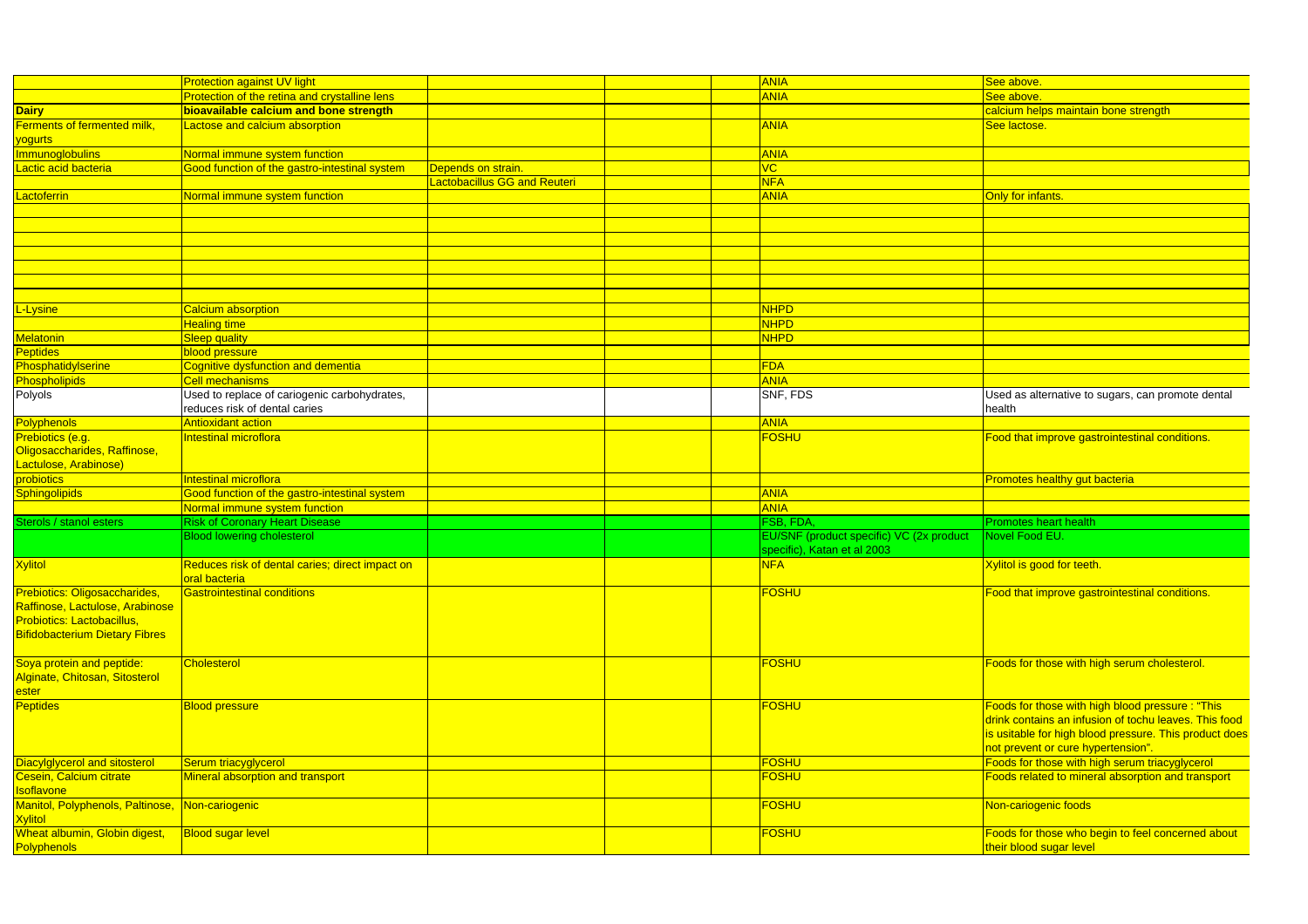|                                                                   | <b>Protection against UV light</b>                               |                              | <b>ANIA</b>                              | <mark>See above.</mark>                                |
|-------------------------------------------------------------------|------------------------------------------------------------------|------------------------------|------------------------------------------|--------------------------------------------------------|
|                                                                   | Protection of the retina and crystalline lens                    |                              | <b>ANIA</b>                              | See above                                              |
| <b>Dairy</b>                                                      | bioavailable calcium and bone strength                           |                              |                                          | calcium helps maintain bone strength                   |
| Ferments of fermented milk,<br>yogurts                            | actose and calcium absorption                                    |                              | <b>ANIA</b>                              | See lactose.                                           |
| <b>Immunoglobulins</b>                                            | Normal immune system function                                    |                              | <b>ANIA</b>                              |                                                        |
| Lactic acid bacteria                                              | Good function of the gastro-intestinal system                    | Depends on strain.           | <b>VC</b>                                |                                                        |
|                                                                   |                                                                  | Lactobacillus GG and Reuteri | <b>NFA</b>                               |                                                        |
| Lactoferrin                                                       | Normal immune system function                                    |                              | <b>ANIA</b>                              | Only for infants                                       |
|                                                                   |                                                                  |                              |                                          |                                                        |
|                                                                   |                                                                  |                              |                                          |                                                        |
|                                                                   |                                                                  |                              |                                          |                                                        |
|                                                                   |                                                                  |                              |                                          |                                                        |
|                                                                   |                                                                  |                              |                                          |                                                        |
|                                                                   |                                                                  |                              |                                          |                                                        |
|                                                                   |                                                                  |                              |                                          |                                                        |
|                                                                   |                                                                  |                              |                                          |                                                        |
| L-Lysine                                                          | <b>Calcium absorption</b>                                        |                              | <b>NHPD</b>                              |                                                        |
|                                                                   | Healing time                                                     |                              | <b>NHPD</b>                              |                                                        |
| <b>Melatonin</b>                                                  | <b>Sleep quality</b>                                             |                              | <b>NHPD</b>                              |                                                        |
| <b>Peptides</b>                                                   | blood pressure                                                   |                              |                                          |                                                        |
| Phosphatidylserine                                                | Cognitive dysfunction and dementia                               |                              | FDA                                      |                                                        |
| Phospholipids                                                     | Cell mechanisms                                                  |                              | <b>ANIA</b>                              |                                                        |
| Polyols                                                           | Used to replace of cariogenic carbohydrates,                     |                              | SNF, FDS                                 | Used as alternative to sugars, can promote dental      |
|                                                                   | reduces risk of dental caries                                    |                              |                                          | health                                                 |
| Polyphenols                                                       | Antioxidant action                                               |                              | <b>ANIA</b>                              |                                                        |
| Prebiotics (e.g.                                                  | ntestinal microflora                                             |                              | <b>FOSHU</b>                             | Food that improve gastrointestinal conditions.         |
| Oligosaccharides, Raffinose,                                      |                                                                  |                              |                                          |                                                        |
| Lactulose, Arabinose)                                             |                                                                  |                              |                                          |                                                        |
| probiotics                                                        | Intestinal microflora                                            |                              |                                          |                                                        |
|                                                                   |                                                                  |                              | <b>ANIA</b>                              | Promotes healthy gut bacteria                          |
| <b>Sphingolipids</b>                                              | Good function of the gastro-intestinal system                    |                              |                                          |                                                        |
|                                                                   | Normal immune system function                                    |                              | <b>ANIA</b>                              |                                                        |
| Sterols / stanol esters                                           | <b>Risk of Coronary Heart Disease</b>                            |                              | FSB, FDA,                                | <b>Promotes heart health</b>                           |
|                                                                   | <b>Blood lowering cholesterol</b>                                |                              | EU/SNF (product specific) VC (2x product | Novel Food EU.                                         |
|                                                                   |                                                                  |                              | specific), Katan et al 2003              |                                                        |
| <b>Xylitol</b>                                                    | Reduces risk of dental caries; direct impact on<br>oral bacteria |                              | <b>NFA</b>                               | Xylitol is good for teeth.                             |
| Prebiotics: Oligosaccharides,                                     | Gastrointestinal conditions                                      |                              | <b>FOSHU</b>                             | Food that improve gastrointestinal conditions          |
| Raffinose, Lactulose, Arabinose                                   |                                                                  |                              |                                          |                                                        |
| Probiotics: Lactobacillus,                                        |                                                                  |                              |                                          |                                                        |
| <b>Bifidobacterium Dietary Fibres</b>                             |                                                                  |                              |                                          |                                                        |
|                                                                   |                                                                  |                              |                                          |                                                        |
| Soya protein and peptide:                                         | <b>Cholesterol</b>                                               |                              | <b>FOSHU</b>                             | Foods for those with high serum cholesterol.           |
| Alginate, Chitosan, Sitosterol                                    |                                                                  |                              |                                          |                                                        |
| ester                                                             |                                                                  |                              |                                          |                                                        |
| <b>Peptides</b>                                                   | <b>Blood pressure</b>                                            |                              | FOSHU                                    | Foods for those with high blood pressure: "This        |
|                                                                   |                                                                  |                              |                                          | drink contains an infusion of tochu leaves. This food  |
|                                                                   |                                                                  |                              |                                          | is usitable for high blood pressure. This product does |
|                                                                   |                                                                  |                              |                                          | not prevent or cure hypertension".                     |
|                                                                   |                                                                  |                              |                                          |                                                        |
| Diacylglycerol and sitosterol                                     | Serum triacyglycerol                                             |                              | FOSHU                                    | Foods for those with high serum triacyglycerol         |
| Cesein, Calcium citrate<br><b>Isoflavone</b>                      | Mineral absorption and transport                                 |                              | FOSHU                                    | Foods related to mineral absorption and transport      |
| Manitol, Polyphenols, Paltinose, Non-cariogenic<br><b>Xylitol</b> |                                                                  |                              | <b>FOSHU</b>                             | Non-cariogenic foods                                   |
| Wheat albumin, Globin digest,                                     | <b>Blood sugar level</b>                                         |                              | <b>FOSHU</b>                             | Foods for those who begin to feel concerned about      |
| <b>Polyphenols</b>                                                |                                                                  |                              |                                          | their blood sugar level                                |
|                                                                   |                                                                  |                              |                                          |                                                        |